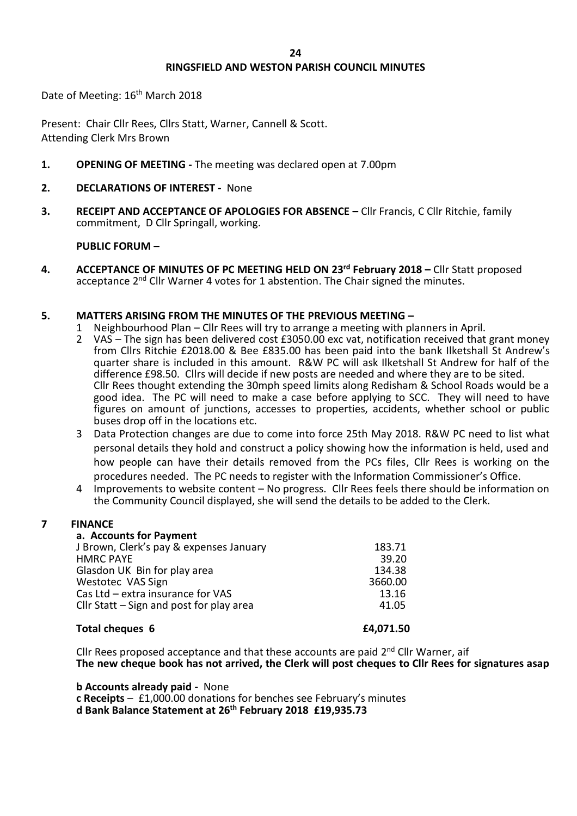# **RINGSFIELD AND WESTON PARISH COUNCIL MINUTES**

Date of Meeting: 16<sup>th</sup> March 2018

Present: Chair Cllr Rees, Cllrs Statt, Warner, Cannell & Scott. Attending Clerk Mrs Brown

- **1. OPENING OF MEETING -** The meeting was declared open at 7.00pm
- **2. DECLARATIONS OF INTEREST** None
- **3. RECEIPT AND ACCEPTANCE OF APOLOGIES FOR ABSENCE –** Cllr Francis, C Cllr Ritchie, family commitment, D Cllr Springall, working.

# **PUBLIC FORUM –**

**4. ACCEPTANCE OF MINUTES OF PC MEETING HELD ON 23rd February 2018 –** Cllr Statt proposed acceptance 2<sup>nd</sup> Cllr Warner 4 votes for 1 abstention. The Chair signed the minutes.

# **5. MATTERS ARISING FROM THE MINUTES OF THE PREVIOUS MEETING –**

- 1 Neighbourhood Plan Cllr Rees will try to arrange a meeting with planners in April.
- 2 VAS The sign has been delivered cost £3050.00 exc vat, notification received that grant money from Cllrs Ritchie £2018.00 & Bee £835.00 has been paid into the bank Ilketshall St Andrew's quarter share is included in this amount. R&W PC will ask Ilketshall St Andrew for half of the difference £98.50. Cllrs will decide if new posts are needed and where they are to be sited. Cllr Rees thought extending the 30mph speed limits along Redisham & School Roads would be a good idea. The PC will need to make a case before applying to SCC. They will need to have figures on amount of junctions, accesses to properties, accidents, whether school or public buses drop off in the locations etc.
- 3 Data Protection changes are due to come into force 25th May 2018. R&W PC need to list what personal details they hold and construct a policy showing how the information is held, used and how people can have their details removed from the PCs files, Cllr Rees is working on the procedures needed. The PC needs to register with the Information Commissioner's Office.
- 4 Improvements to website content No progress. Cllr Rees feels there should be information on the Community Council displayed, she will send the details to be added to the Clerk.

# **7 FINANCE**

# **a. Accounts for Payment**

| J Brown, Clerk's pay & expenses January    | 183.71  |
|--------------------------------------------|---------|
| <b>HMRC PAYE</b>                           | 39.20   |
| Glasdon UK Bin for play area               | 134.38  |
| Westotec VAS Sign                          | 3660.00 |
| Cas Ltd - extra insurance for VAS          | 13.16   |
| Cllr Statt $-$ Sign and post for play area | 41.05   |
|                                            |         |

#### **Total cheques 6 <b>£4,071.50**

Cllr Rees proposed acceptance and that these accounts are paid 2<sup>nd</sup> Cllr Warner, aif **The new cheque book has not arrived, the Clerk will post cheques to Cllr Rees for signatures asap**

**b Accounts already paid -** None

**c Receipts** – £1,000.00 donations for benches see February's minutes **d Bank Balance Statement at 26th February 2018 £19,935.73**